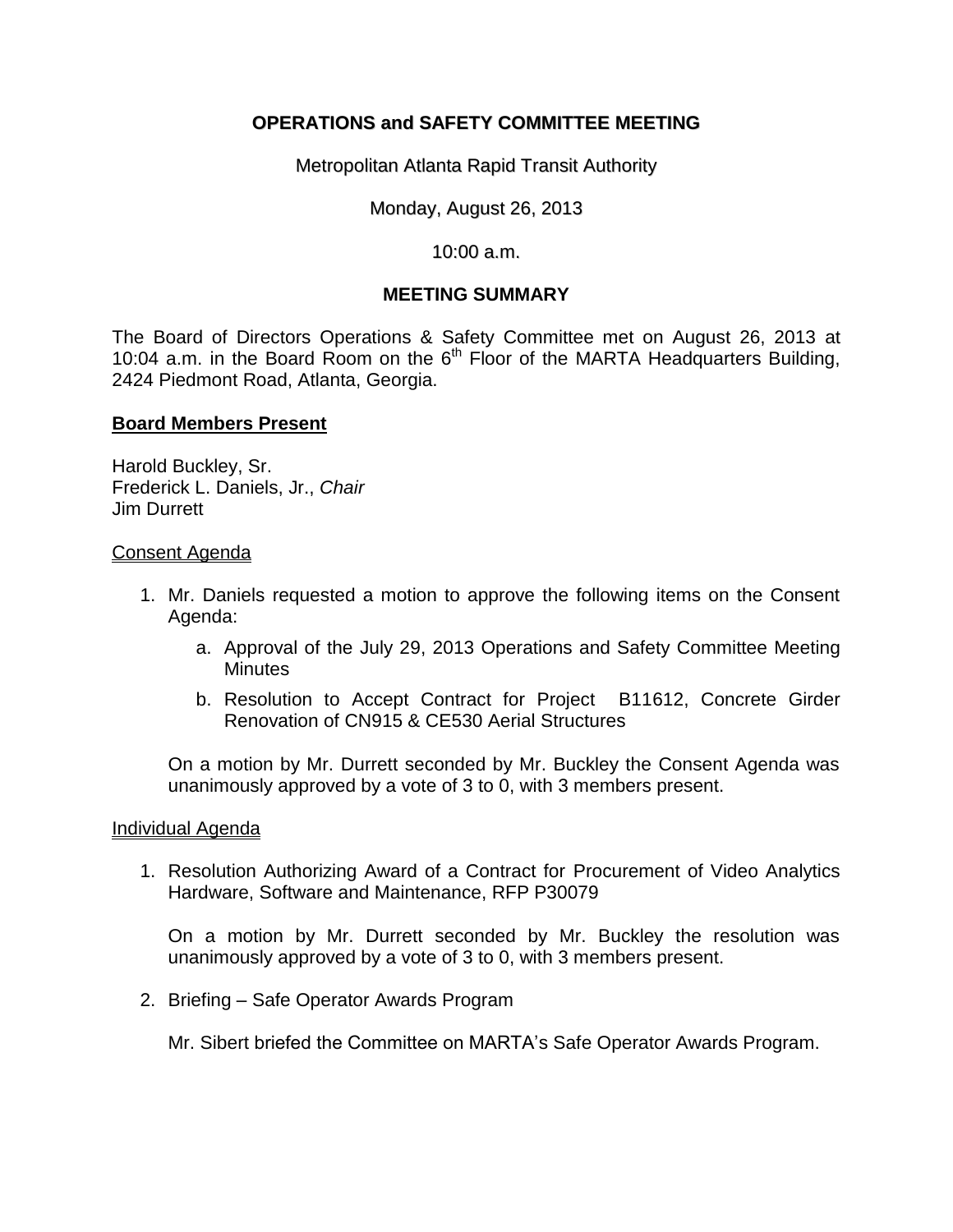# **OPERATIONS and SAFETY COMMITTEE MEETING**

Metropolitan Atlanta Rapid Transit Authority

Monday, August 26, 2013

### 10:00 a.m.

## **MEETING SUMMARY**

The Board of Directors Operations & Safety Committee met on August 26, 2013 at 10:04 a.m. in the Board Room on the  $6<sup>th</sup>$  Floor of the MARTA Headquarters Building, 2424 Piedmont Road, Atlanta, Georgia.

## **Board Members Present**

Harold Buckley, Sr. Frederick L. Daniels, Jr., *Chair*  Jim Durrett

#### Consent Agenda

- 1. Mr. Daniels requested a motion to approve the following items on the Consent Agenda:
	- a. Approval of the July 29, 2013 Operations and Safety Committee Meeting **Minutes**
	- b. Resolution to Accept Contract for Project B11612, Concrete Girder Renovation of CN915 & CE530 Aerial Structures

On a motion by Mr. Durrett seconded by Mr. Buckley the Consent Agenda was unanimously approved by a vote of 3 to 0, with 3 members present.

#### Individual Agenda

1. Resolution Authorizing Award of a Contract for Procurement of Video Analytics Hardware, Software and Maintenance, RFP P30079

On a motion by Mr. Durrett seconded by Mr. Buckley the resolution was unanimously approved by a vote of 3 to 0, with 3 members present.

2. Briefing – Safe Operator Awards Program

Mr. Sibert briefed the Committee on MARTA's Safe Operator Awards Program.